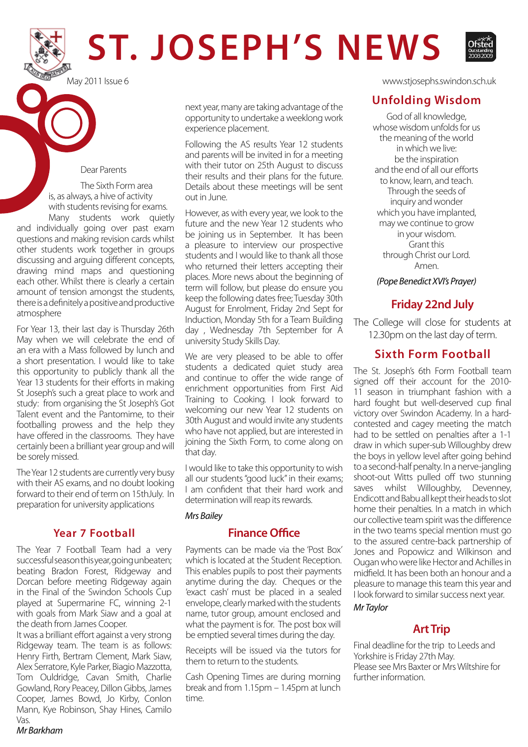# **ST. JOSEPH'S NEWS**



#### Dear Parents

 The Sixth Form area is, as always, a hive of activity with students revising for exams.

Many students work quietly and individually going over past exam questions and making revision cards whilst other students work together in groups discussing and arguing different concepts, drawing mind maps and questioning each other. Whilst there is clearly a certain amount of tension amongst the students, there is a definitely a positive and productive atmosphere

For Year 13, their last day is Thursday 26th May when we will celebrate the end of an era with a Mass followed by lunch and a short presentation. I would like to take this opportunity to publicly thank all the Year 13 students for their efforts in making St Joseph's such a great place to work and study: from organising the St Joseph's Got Talent event and the Pantomime, to their footballing prowess and the help they have offered in the classrooms. They have certainly been a brilliant year group and will be sorely missed.

The Year 12 students are currently very busy with their AS exams, and no doubt looking forward to their end of term on 15thJuly. In preparation for university applications

### **Year 7 Football**

The Year 7 Football Team had a very successful season this year, going unbeaten; beating Bradon Forest, Ridgeway and Dorcan before meeting Ridgeway again in the Final of the Swindon Schools Cup played at Supermarine FC, winning 2-1 with goals from Mark Siaw and a goal at the death from James Cooper.

It was a brilliant effort against a very strong Ridgeway team. The team is as follows: Henry Firth, Bertram Clement, Mark Siaw, Alex Serratore, Kyle Parker, Biagio Mazzotta, Tom Ouldridge, Cavan Smith, Charlie Gowland, Rory Peacey, Dillon Gibbs, James Cooper, James Bowd, Jo Kirby, Conlon Mann, Kye Robinson, Shay Hines, Camilo Vas.

next year, many are taking advantage of the opportunity to undertake a weeklong work experience placement.

Following the AS results Year 12 students and parents will be invited in for a meeting with their tutor on 25th August to discuss their results and their plans for the future. Details about these meetings will be sent out in June.

However, as with every year, we look to the future and the new Year 12 students who be joining us in September. It has been a pleasure to interview our prospective students and I would like to thank all those who returned their letters accepting their places. More news about the beginning of term will follow, but please do ensure you keep the following dates free; Tuesday 30th August for Enrolment, Friday 2nd Sept for Induction, Monday 5th for a Team Building day , Wednesday 7th September for A university Study Skills Day.

We are very pleased to be able to offer students a dedicated quiet study area and continue to offer the wide range of enrichment opportunities from First Aid Training to Cooking. I look forward to welcoming our new Year 12 students on 30th August and would invite any students who have not applied, but are interested in joining the Sixth Form, to come along on that day.

I would like to take this opportunity to wish all our students "good luck" in their exams; I am confident that their hard work and determination will reap its rewards.

*Mrs Bailey*

# **Finance Office**

Payments can be made via the 'Post Box' which is located at the Student Reception. This enables pupils to post their payments anytime during the day. Cheques or the 'exact cash' must be placed in a sealed envelope, clearly marked with the students name, tutor group, amount enclosed and what the payment is for. The post box will be emptied several times during the day.

Receipts will be issued via the tutors for them to return to the students.

Cash Opening Times are during morning break and from 1.15pm – 1.45pm at lunch time.

May 2011 Issue 6 www.stjosephs.swindon.sch.uk

# **Unfolding Wisdom**

God of all knowledge, whose wisdom unfolds for us the meaning of the world in which we live: be the inspiration and the end of all our efforts to know, learn, and teach. Through the seeds of inquiry and wonder which you have implanted, may we continue to grow in your wisdom. Grant this through Christ our Lord. Amen.

*(Pope Benedict XVI's Prayer)*

# **Friday 22nd July**

The College will close for students at 12.30pm on the last day of term.

# **Sixth Form Football**

The St. Joseph's 6th Form Football team signed off their account for the 2010- 11 season in triumphant fashion with a hard fought but well-deserved cup final victory over Swindon Academy. In a hardcontested and cagey meeting the match had to be settled on penalties after a 1-1 draw in which super-sub Willoughby drew the boys in yellow level after going behind to a second-half penalty. In a nerve-jangling shoot-out Witts pulled off two stunning saves whilst Willoughby, Devenney, Endicott and Babu all kept their heads to slot home their penalties. In a match in which our collective team spirit was the difference in the two teams special mention must go to the assured centre-back partnership of Jones and Popowicz and Wilkinson and Ougan who were like Hector and Achilles in midfield. It has been both an honour and a pleasure to manage this team this year and I look forward to similar success next year.

#### *Mr Taylor*

# **Art Trip**

Final deadline for the trip to Leeds and Yorkshire is Friday 27th May. Please see Mrs Baxter or Mrs Wiltshire for further information.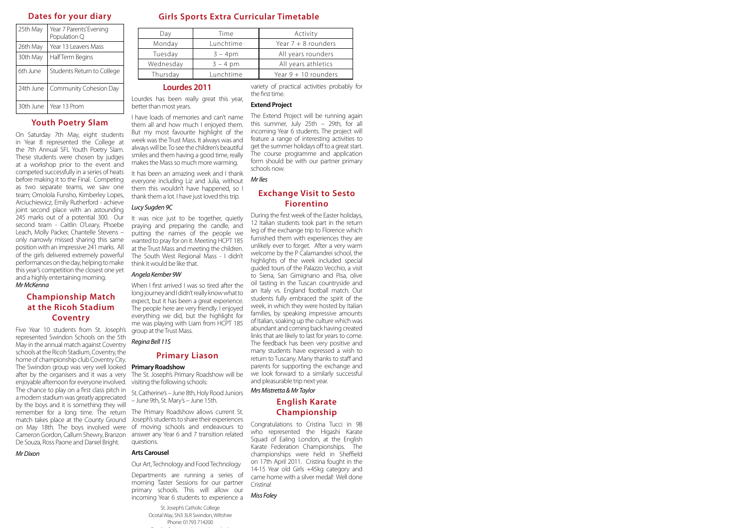# **Dates for your diary**

| 25th May  | Year 7 Parents' Evening<br>Population Q |  |
|-----------|-----------------------------------------|--|
| 26th May  | Year 13 Leavers Mass                    |  |
| 30th May  | Half Term Begins                        |  |
| 6th June  | Students Return to College              |  |
| 24th June | Community Cohesion Day                  |  |
| 30th June | Year 13 Prom                            |  |

# **Youth Poetry Slam**

On Saturday 7th May, eight students in Year 8 represented the College at the 7th Annual SFL Youth Poetry Slam. These students were chosen by judges at a workshop prior to the event and competed successfully in a series of heats before making it to the Final. Competing as two separate teams, we saw one team; Omolola Funsho, Kimberley Lopes, Arciuchiewicz, Emily Rutherford - achieve joint second place with an astounding 245 marks out of a potential 300. Our second team - Caitlin O'Leary, Phoebe Leach, Molly Packer, Chantelle Stevens – only narrowly missed sharing this same position with an impressive 241 marks. All of the girls delivered extremely powerful performances on the day, helping to make this year's competition the closest one yet and a highly entertaining morning. *Mr McKenna*

It was nice just to be together, quietly praying and preparing the candle, and putting the names of the people we wanted to pray for on it. Meeting HCPT 185 at the Trust Mass and meeting the children. The South West Regional Mass - I didn't think it would be like that.

| Day       | Time       | Activity               |
|-----------|------------|------------------------|
| Monday    | Lunchtime  | Year $7 + 8$ rounders  |
| Tuesday   | $3 - 4pm$  | All years rounders     |
| Wednesday | $3 - 4$ pm | All years athletics    |
| Thursday  | Lunchtime  | Year $9 + 10$ rounders |

When I first arrived I was so tired after the long journey and I didn't really know what to expect, but it has been a great experience. The people here are very friendly. I enjoyed everything we did, but the highlight for me was playing with Liam from HCPT 185 group at the Trust Mass.

### **Girls Sports Extra Curricular Timetable**

# **Lourdes 2011**

Lourdes has been really great this year, better than most years.

I have loads of memories and can't name them all and how much I enjoyed them. But my most favourite highlight of the week was the Trust Mass. It always was and always will be. To see the children's beautiful smiles and them having a good time, really makes the Mass so much more warming.

It has been an amazing week and I thank everyone including Liz and Julia, without them this wouldn't have happened, so I thank them a lot. I have just loved this trip.

#### *Lucy Sugden 9C*

#### *Angela Kember 9W*

#### *Regina Bell 11S*

#### **Primary Liason**

The St. Joseph's Primary Roadshow will be visiting the following schools:

St. Catherine's – June 8th, Holy Rood Juniors – June 9th, St. Mary's – June 15th.

The Primary Roadshow allows current St. match takes place at the County Ground Joseph's students to share their experiences on May 18th. The boys involved were of moving schools and endeavours to Cameron Gordon, Callum Shewry, Branzon answer any Year 6 and 7 transition related questions.

#### **Arts Carousel**

#### Our Art, Technology and Food Technology

The Swindon group was very well looked **Primary Roadshow** Five Year 10 students from St. Joseph's represented Swindon Schools on the 5th May in the annual match against Coventry schools at the Ricoh Stadium, Coventry, the home of championship club Coventry City. after by the organisers and it was a very enjoyable afternoon for everyone involved. The chance to play on a first class pitch in a modern stadium was greatly appreciated by the boys and it is something they will remember for a long time. The return De Souza, Ross Paone and Daniel Bright.

> Departments are running a series of morning Taster Sessions for our partner primary schools. This will allow our incoming Year 6 students to experience a

variety of practical activities probably for the first time.

#### **Extend Project**

The Extend Project will be running again this summer, July 25th – 29th, for all incoming Year 6 students. The project will feature a range of interesting activities to get the summer holidays off to a great start. The course programme and application form should be with our partner primary schools now.

*Mr Iles*

# **Exchange Visit to Sesto Fiorentino**

During the first week of the Easter holidays, 12 Italian students took part in the return leg of the exchange trip to Florence which furnished them with experiences they are unlikely ever to forget. After a very warm welcome by the P Calamandrei school, the highlights of the week included special guided tours of the Palazzo Vecchio, a visit to Siena, San Gimignano and Pisa, olive oil tasting in the Tuscan countryside and an Italy vs. England football match. Our students fully embraced the spirit of the week, in which they were hosted by Italian families, by speaking impressive amounts of Italian, soaking up the culture which was abundant and coming back having created links that are likely to last for years to come. The feedback has been very positive and many students have expressed a wish to return to Tuscany. Many thanks to staff and parents for supporting the exchange and we look forward to a similarly successful and pleasurable trip next year.

*Mrs Mistretta & Mr Taylor*

# **English Karate Championship**

Congratulations to Cristina Tucci in 9B who represented the Higashi Karate Squad of Ealing London, at the English Karate Federation Championships. The championships were held in Sheffield on 17th April 2011. Cristina fought in the 14-15 Year old Girls +45kg category and came home with a silver medal! Well done Cristina!

#### *Miss Foley*

St. Joseph's Catholic College Ocotal Way, SN3 3LR Swindon, Wiltshire Phone: 01793 714200 Email: info@stjosephs.swindon.sch.uk

# **Championship Match at the Ricoh Stadium Coventry**

#### *Mr Dixon*